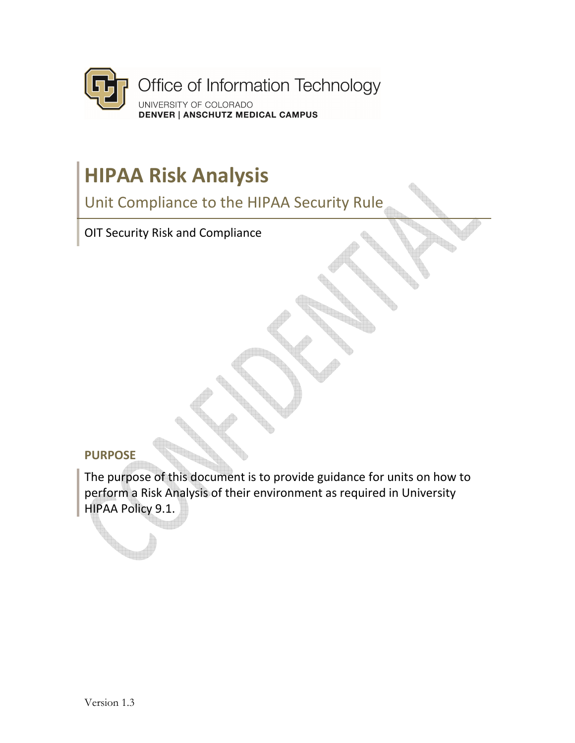

# **HIPAA Risk Analysis**

Unit Compliance to the HIPAA Security Rule

OIT Security Risk and Compliance

### **PURPOSE**

The purpose of this document is to provide guidance for units on how to perform a Risk Analysis of their environment as required in University HIPAA Policy 9.1.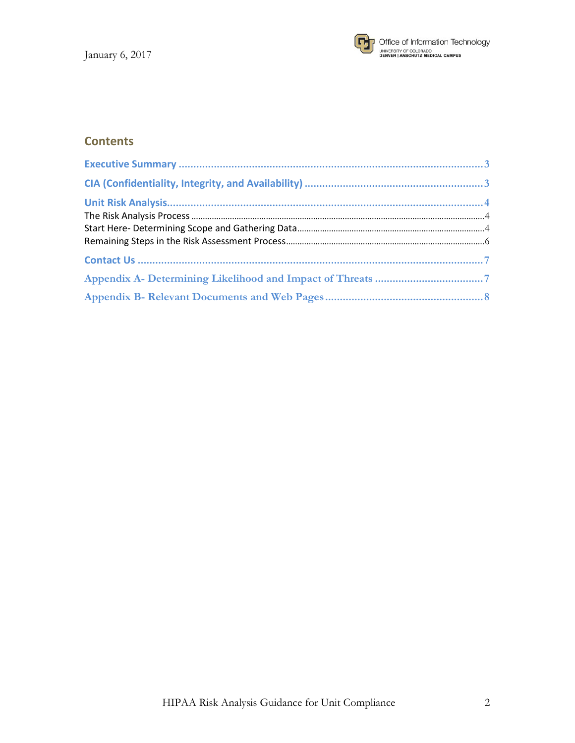

### **Contents**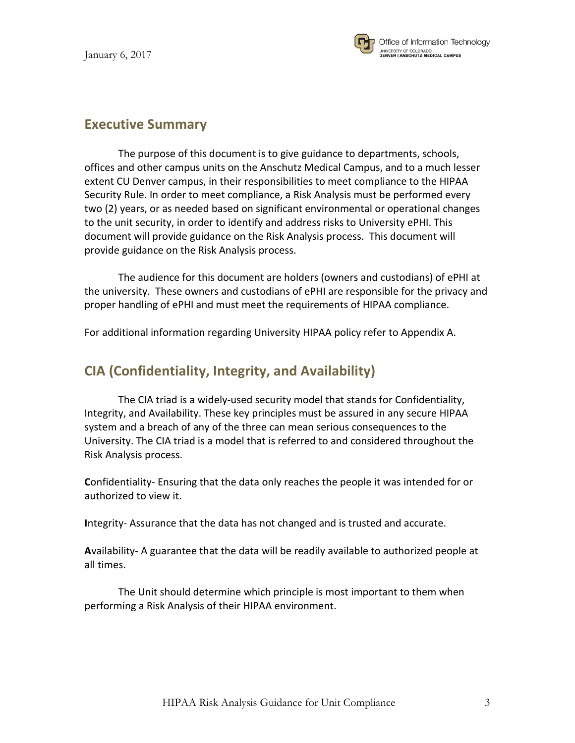

The purpose of this document is to give guidance to departments, schools, offices and other campus units on the Anschutz Medical Campus, and to a much lesser extent CU Denver campus, in their responsibilities to meet compliance to the HIPAA Security Rule. In order to meet compliance, a Risk Analysis must be performed every two (2) years, or as needed based on significant environmental or operational changes to the unit security, in order to identify and address risks to University ePHI. This document will provide guidance on the Risk Analysis process. This document will provide guidance on the Risk Analysis process.

The audience for this document are holders (owners and custodians) of ePHI at the university. These owners and custodians of ePHI are responsible for the privacy and proper handling of ePHI and must meet the requirements of HIPAA compliance.

For additional information regarding University HIPAA policy refer to Appendix A.

### **CIA (Confidentiality, Integrity, and Availability)**

The CIA triad is a widely-used security model that stands for Confidentiality, Integrity, and Availability. These key principles must be assured in any secure HIPAA system and a breach of any of the three can mean serious consequences to the University. The CIA triad is a model that is referred to and considered throughout the Risk Analysis process.

**C**onfidentiality- Ensuring that the data only reaches the people it was intended for or authorized to view it.

**I**ntegrity- Assurance that the data has not changed and is trusted and accurate.

**A**vailability- A guarantee that the data will be readily available to authorized people at all times.

 The Unit should determine which principle is most important to them when performing a Risk Analysis of their HIPAA environment.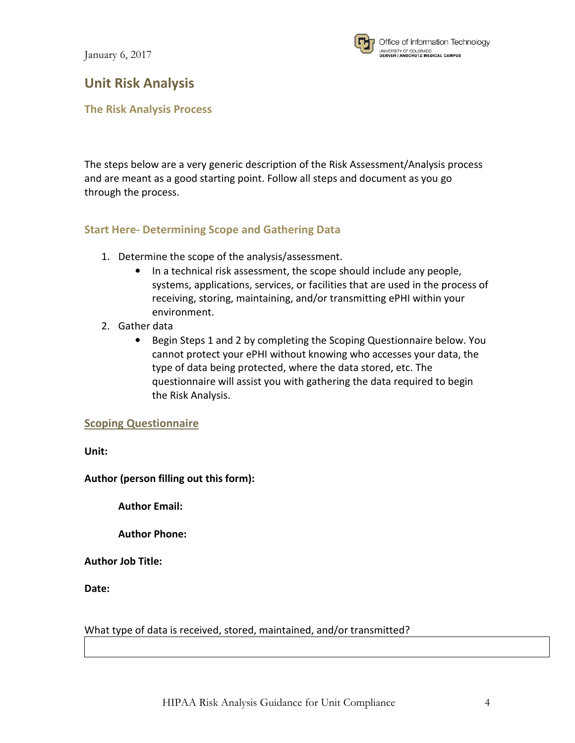

## **Unit Risk Analysis**

**The Risk Analysis Process** 

The steps below are a very generic description of the Risk Assessment/Analysis process and are meant as a good starting point. Follow all steps and document as you go through the process.

### **Start Here- Determining Scope and Gathering Data**

- 1. Determine the scope of the analysis/assessment.
	- In a technical risk assessment, the scope should include any people, systems, applications, services, or facilities that are used in the process of receiving, storing, maintaining, and/or transmitting ePHI within your environment.
- 2. Gather data
	- Begin Steps 1 and 2 by completing the Scoping Questionnaire below. You cannot protect your ePHI without knowing who accesses your data, the type of data being protected, where the data stored, etc. The questionnaire will assist you with gathering the data required to begin the Risk Analysis.

### **Scoping Questionnaire**

**Unit:** 

**Author (person filling out this form):** 

 **Author Email:** 

 **Author Phone:** 

**Author Job Title:** 

**Date:** 

### What type of data is received, stored, maintained, and/or transmitted?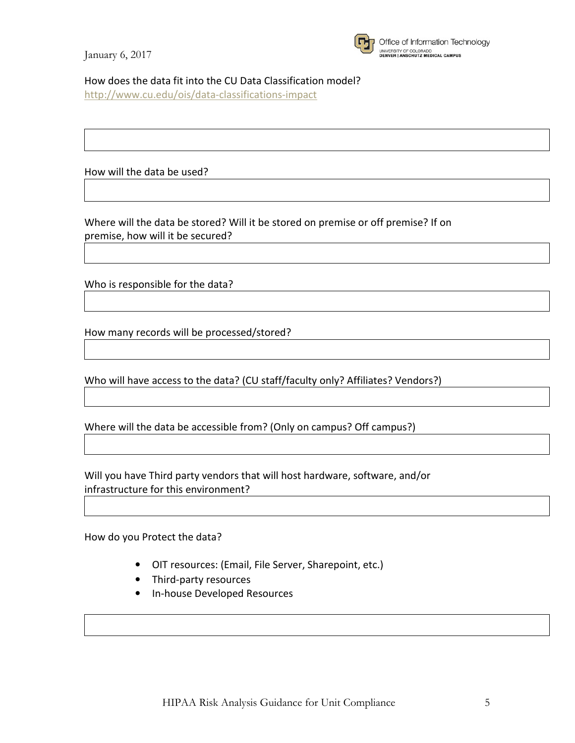

Office of Information Technology UNIVERSITY OF COLORADO<br>DENVER | ANSCHUTZ MEDICAL CAMPUS

How does the data fit into the CU Data Classification model?

http://www.cu.edu/ois/data-classifications-impact

How will the data be used?

Where will the data be stored? Will it be stored on premise or off premise? If on premise, how will it be secured?

Who is responsible for the data?

How many records will be processed/stored?

Who will have access to the data? (CU staff/faculty only? Affiliates? Vendors?)

Where will the data be accessible from? (Only on campus? Off campus?)

Will you have Third party vendors that will host hardware, software, and/or infrastructure for this environment?

How do you Protect the data?

- OIT resources: (Email, File Server, Sharepoint, etc.)
- Third-party resources
- In-house Developed Resources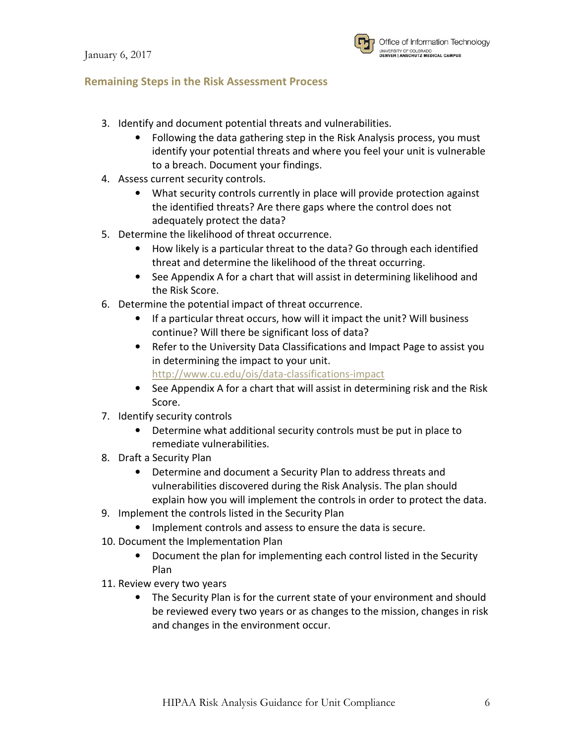

### **Remaining Steps in the Risk Assessment Process**

- 3. Identify and document potential threats and vulnerabilities.
	- Following the data gathering step in the Risk Analysis process, you must identify your potential threats and where you feel your unit is vulnerable to a breach. Document your findings.
- 4. Assess current security controls.
	- What security controls currently in place will provide protection against the identified threats? Are there gaps where the control does not adequately protect the data?
- 5. Determine the likelihood of threat occurrence.
	- How likely is a particular threat to the data? Go through each identified threat and determine the likelihood of the threat occurring.
	- See Appendix A for a chart that will assist in determining likelihood and the Risk Score.
- 6. Determine the potential impact of threat occurrence.
	- If a particular threat occurs, how will it impact the unit? Will business continue? Will there be significant loss of data?
	- Refer to the University Data Classifications and Impact Page to assist you in determining the impact to your unit. http://www.cu.edu/ois/data-classifications-impact
	- See Appendix A for a chart that will assist in determining risk and the Risk Score.
- 7. Identify security controls
	- Determine what additional security controls must be put in place to remediate vulnerabilities.
- 8. Draft a Security Plan
	- Determine and document a Security Plan to address threats and vulnerabilities discovered during the Risk Analysis. The plan should explain how you will implement the controls in order to protect the data.
- 9. Implement the controls listed in the Security Plan
	- Implement controls and assess to ensure the data is secure.
- 10. Document the Implementation Plan
	- Document the plan for implementing each control listed in the Security Plan
- 11. Review every two years
	- The Security Plan is for the current state of your environment and should be reviewed every two years or as changes to the mission, changes in risk and changes in the environment occur.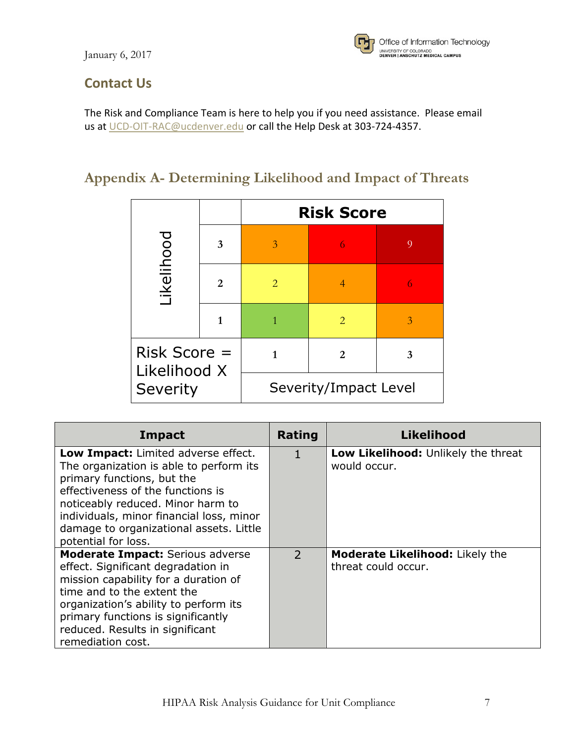

# **Contact Us**

The Risk and Compliance Team is here to help you if you need assistance. Please email us at UCD-OIT-RAC@ucdenver.edu or call the Help Desk at 303-724-4357.

# **Appendix A- Determining Likelihood and Impact of Threats**

|                                            |   |                       | <b>Risk Score</b>     |                |
|--------------------------------------------|---|-----------------------|-----------------------|----------------|
| ikelihood                                  | 3 | 3                     | 6                     | $\overline{Q}$ |
|                                            | 2 | $\mathcal{D}_{\cdot}$ | 4                     |                |
|                                            | 1 |                       | $\mathcal{D}_{\cdot}$ | 3              |
| $Risk Score =$<br>Likelihood X<br>Severity |   |                       | $\mathbf{2}$          | 3              |
|                                            |   | Severity/Impact Level |                       |                |

| <b>Impact</b>                                                                                                                                                                                                                                                                                        | Rating         | Likelihood                                                    |
|------------------------------------------------------------------------------------------------------------------------------------------------------------------------------------------------------------------------------------------------------------------------------------------------------|----------------|---------------------------------------------------------------|
| Low Impact: Limited adverse effect.<br>The organization is able to perform its<br>primary functions, but the<br>effectiveness of the functions is<br>noticeably reduced. Minor harm to<br>individuals, minor financial loss, minor<br>damage to organizational assets. Little<br>potential for loss. |                | Low Likelihood: Unlikely the threat<br>would occur.           |
| <b>Moderate Impact: Serious adverse</b><br>effect. Significant degradation in<br>mission capability for a duration of<br>time and to the extent the<br>organization's ability to perform its<br>primary functions is significantly<br>reduced. Results in significant<br>remediation cost.           | $\overline{2}$ | <b>Moderate Likelihood:</b> Likely the<br>threat could occur. |